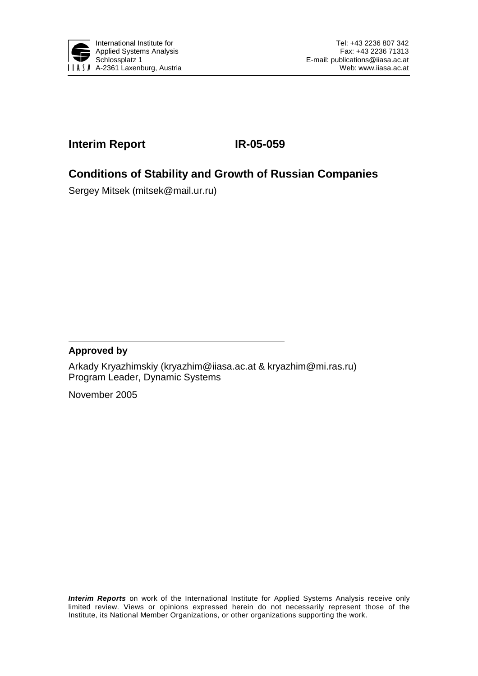

# **Interim Report IR-05-059**

# **Conditions of Stability and Growth of Russian Companies**

Sergey Mitsek (mitsek@mail.ur.ru)

#### **Approved by**

Arkady Kryazhimskiy (kryazhim@iiasa.ac.at & kryazhim@mi.ras.ru) Program Leader, Dynamic Systems

November 2005

*Interim Reports* on work of the International Institute for Applied Systems Analysis receive only limited review. Views or opinions expressed herein do not necessarily represent those of the Institute, its National Member Organizations, or other organizations supporting the work.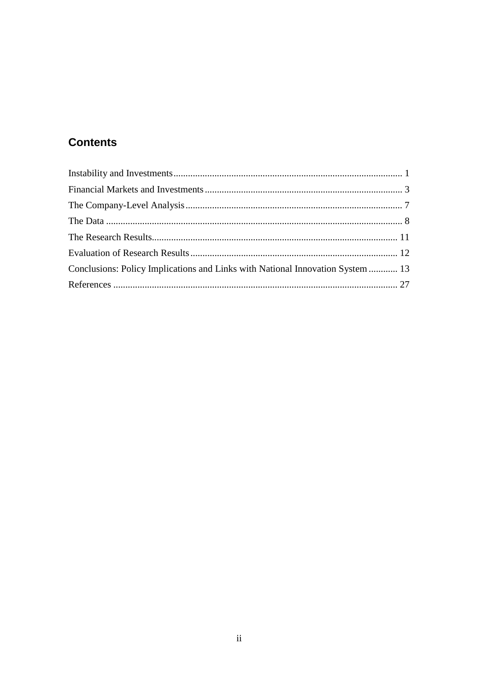# **Contents**

| Conclusions: Policy Implications and Links with National Innovation System  13 |  |
|--------------------------------------------------------------------------------|--|
|                                                                                |  |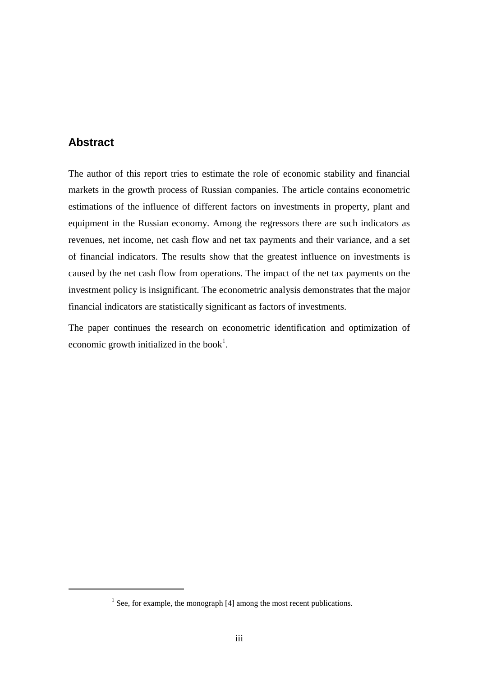#### **Abstract**

 $\overline{a}$ 

The author of this report tries to estimate the role of economic stability and financial markets in the growth process of Russian companies. The article contains econometric estimations of the influence of different factors on investments in property, plant and equipment in the Russian economy. Among the regressors there are such indicators as revenues, net income, net cash flow and net tax payments and their variance, and a set of financial indicators. The results show that the greatest influence on investments is caused by the net cash flow from operations. The impact of the net tax payments on the investment policy is insignificant. The econometric analysis demonstrates that the major financial indicators are statistically significant as factors of investments.

The paper continues the research on econometric identification and optimization of economic growth initialized in the book<sup>1</sup>.

 $<sup>1</sup>$  See, for example, the monograph [4] among the most recent publications.</sup>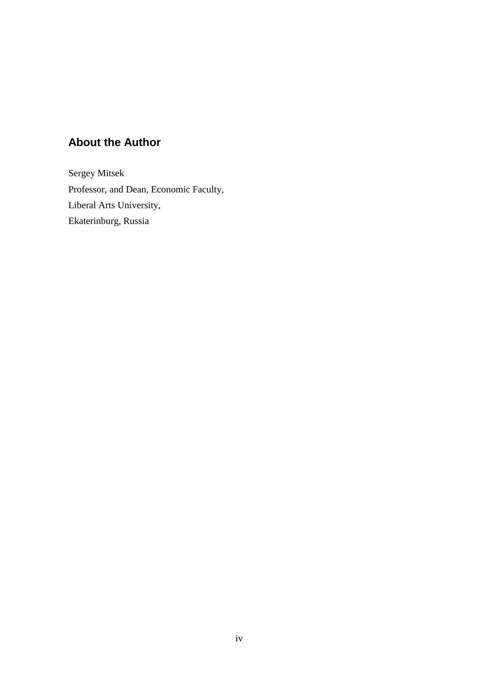# **About the Author**

Sergey Mitsek Professor, and Dean, Economic Faculty, Liberal Arts University, Ekaterinburg, Russia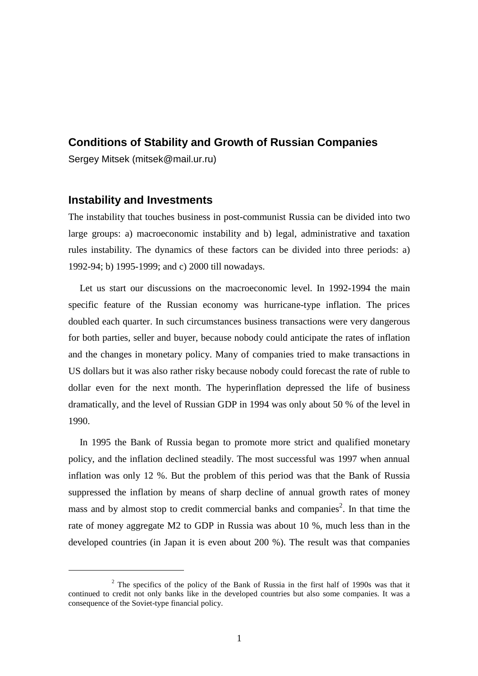#### **Conditions of Stability and Growth of Russian Companies**

Sergey Mitsek (mitsek@mail.ur.ru)

#### **Instability and Investments**

 $\overline{a}$ 

The instability that touches business in post-communist Russia can be divided into two large groups: a) macroeconomic instability and b) legal, administrative and taxation rules instability. The dynamics of these factors can be divided into three periods: a) 1992-94; b) 1995-1999; and c) 2000 till nowadays.

 Let us start our discussions on the macroeconomic level. In 1992-1994 the main specific feature of the Russian economy was hurricane-type inflation. The prices doubled each quarter. In such circumstances business transactions were very dangerous for both parties, seller and buyer, because nobody could anticipate the rates of inflation and the changes in monetary policy. Many of companies tried to make transactions in US dollars but it was also rather risky because nobody could forecast the rate of ruble to dollar even for the next month. The hyperinflation depressed the life of business dramatically, and the level of Russian GDP in 1994 was only about 50 % of the level in 1990.

 In 1995 the Bank of Russia began to promote more strict and qualified monetary policy, and the inflation declined steadily. The most successful was 1997 when annual inflation was only 12 %. But the problem of this period was that the Bank of Russia suppressed the inflation by means of sharp decline of annual growth rates of money mass and by almost stop to credit commercial banks and companies<sup>2</sup>. In that time the rate of money aggregate M2 to GDP in Russia was about 10 %, much less than in the developed countries (in Japan it is even about 200 %). The result was that companies

 $2$  The specifics of the policy of the Bank of Russia in the first half of 1990s was that it continued to credit not only banks like in the developed countries but also some companies. It was a consequence of the Soviet-type financial policy.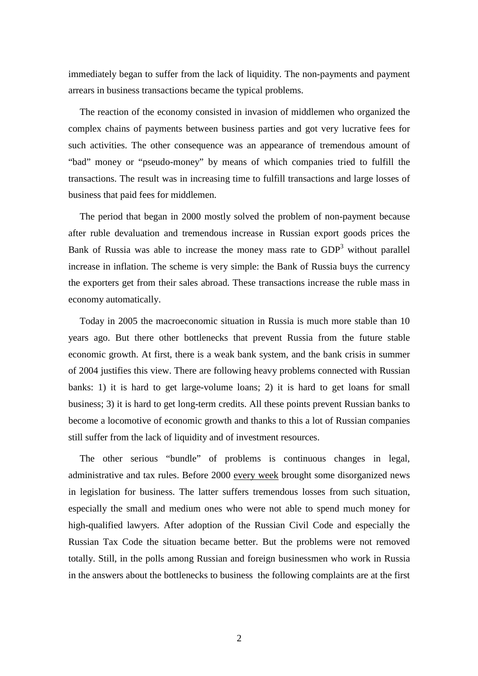immediately began to suffer from the lack of liquidity. The non-payments and payment arrears in business transactions became the typical problems.

 The reaction of the economy consisted in invasion of middlemen who organized the complex chains of payments between business parties and got very lucrative fees for such activities. The other consequence was an appearance of tremendous amount of "bad" money or "pseudo-money" by means of which companies tried to fulfill the transactions. The result was in increasing time to fulfill transactions and large losses of business that paid fees for middlemen.

 The period that began in 2000 mostly solved the problem of non-payment because after ruble devaluation and tremendous increase in Russian export goods prices the Bank of Russia was able to increase the money mass rate to  $GDP<sup>3</sup>$  without parallel increase in inflation. The scheme is very simple: the Bank of Russia buys the currency the exporters get from their sales abroad. These transactions increase the ruble mass in economy automatically.

 Today in 2005 the macroeconomic situation in Russia is much more stable than 10 years ago. But there other bottlenecks that prevent Russia from the future stable economic growth. At first, there is a weak bank system, and the bank crisis in summer of 2004 justifies this view. There are following heavy problems connected with Russian banks: 1) it is hard to get large-volume loans; 2) it is hard to get loans for small business; 3) it is hard to get long-term credits. All these points prevent Russian banks to become a locomotive of economic growth and thanks to this a lot of Russian companies still suffer from the lack of liquidity and of investment resources.

 The other serious "bundle" of problems is continuous changes in legal, administrative and tax rules. Before 2000 every week brought some disorganized news in legislation for business. The latter suffers tremendous losses from such situation, especially the small and medium ones who were not able to spend much money for high-qualified lawyers. After adoption of the Russian Civil Code and especially the Russian Tax Code the situation became better. But the problems were not removed totally. Still, in the polls among Russian and foreign businessmen who work in Russia in the answers about the bottlenecks to business the following complaints are at the first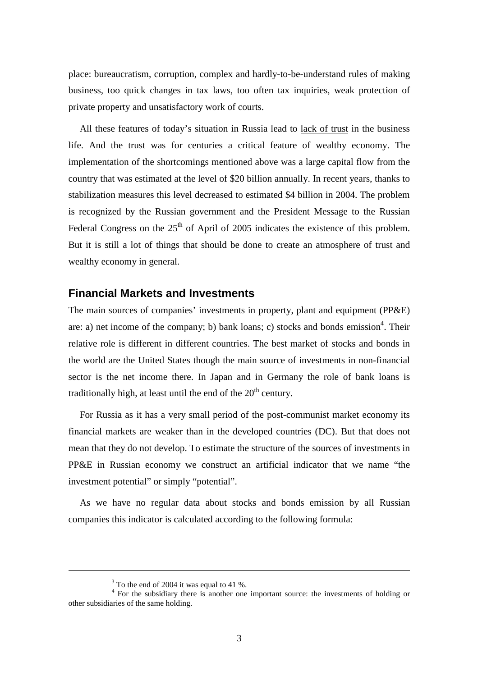place: bureaucratism, corruption, complex and hardly-to-be-understand rules of making business, too quick changes in tax laws, too often tax inquiries, weak protection of private property and unsatisfactory work of courts.

 All these features of today's situation in Russia lead to lack of trust in the business life. And the trust was for centuries a critical feature of wealthy economy. The implementation of the shortcomings mentioned above was a large capital flow from the country that was estimated at the level of \$20 billion annually. In recent years, thanks to stabilization measures this level decreased to estimated \$4 billion in 2004. The problem is recognized by the Russian government and the President Message to the Russian Federal Congress on the  $25<sup>th</sup>$  of April of 2005 indicates the existence of this problem. But it is still a lot of things that should be done to create an atmosphere of trust and wealthy economy in general.

#### **Financial Markets and Investments**

The main sources of companies' investments in property, plant and equipment (PP&E) are: a) net income of the company; b) bank loans; c) stocks and bonds emission<sup>4</sup>. Their relative role is different in different countries. The best market of stocks and bonds in the world are the United States though the main source of investments in non-financial sector is the net income there. In Japan and in Germany the role of bank loans is traditionally high, at least until the end of the  $20<sup>th</sup>$  century.

 For Russia as it has a very small period of the post-communist market economy its financial markets are weaker than in the developed countries (DC). But that does not mean that they do not develop. To estimate the structure of the sources of investments in PP&E in Russian economy we construct an artificial indicator that we name "the investment potential" or simply "potential".

 As we have no regular data about stocks and bonds emission by all Russian companies this indicator is calculated according to the following formula:

<u>.</u>

 $3$  To the end of 2004 it was equal to 41 %.

<sup>&</sup>lt;sup>4</sup> For the subsidiary there is another one important source: the investments of holding or other subsidiaries of the same holding.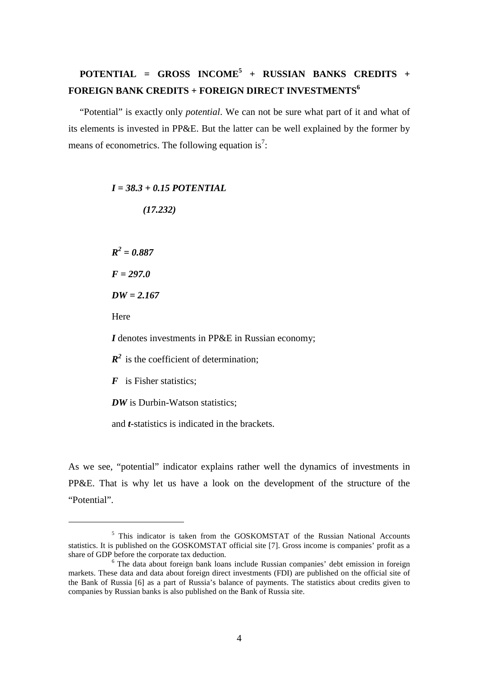# **POTENTIAL = GROSS INCOME<sup>5</sup> + RUSSIAN BANKS CREDITS +**  FOREIGN BANK CREDITS + FOREIGN DIRECT INVESTMENTS<sup>6</sup>

 "Potential" is exactly only *potential*. We can not be sure what part of it and what of its elements is invested in PP&E. But the latter can be well explained by the former by means of econometrics. The following equation is<sup>7</sup>:

#### *I = 38.3 + 0.15 POTENTIAL*

 *(17.232)* 

 $R^2 = 0.887$ 

*F = 297.0* 

*DW = 2.167* 

Here

 $\overline{a}$ 

*I* denotes investments in PP&E in Russian economy;

 $R^2$  is the coefficient of determination;

*F* is Fisher statistics;

*DW* is Durbin-Watson statistics:

and *t*-statistics is indicated in the brackets.

As we see, "potential" indicator explains rather well the dynamics of investments in PP&E. That is why let us have a look on the development of the structure of the "Potential".

<sup>&</sup>lt;sup>5</sup> This indicator is taken from the GOSKOMSTAT of the Russian National Accounts statistics. It is published on the GOSKOMSTAT official site [7]. Gross income is companies' profit as a share of GDP before the corporate tax deduction.

<sup>&</sup>lt;sup>6</sup> The data about foreign bank loans include Russian companies' debt emission in foreign markets. These data and data about foreign direct investments (FDI) are published on the official site of the Bank of Russia [6] as a part of Russia's balance of payments. The statistics about credits given to companies by Russian banks is also published on the Bank of Russia site.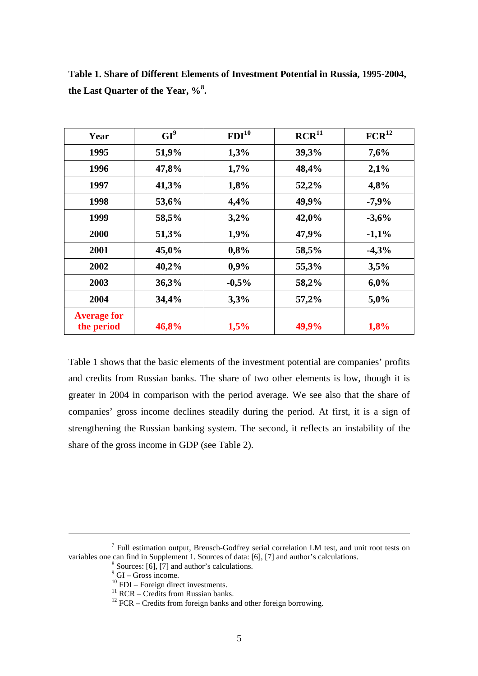| Year                             | $GI^9$ | FDI <sup>10</sup> | RCR <sup>11</sup> | FCR <sup>12</sup> |
|----------------------------------|--------|-------------------|-------------------|-------------------|
| 1995                             | 51,9%  | 1,3%              | 39,3%             | 7,6%              |
| 1996                             | 47,8%  | 1,7%              | 48,4%             | 2,1%              |
| 1997                             | 41,3%  | 1,8%              | 52,2%             | 4,8%              |
| 1998                             | 53,6%  | 4,4%              | 49,9%             | $-7,9%$           |
| 1999                             | 58,5%  | 3,2%              | 42,0%             | $-3,6%$           |
| 2000                             | 51,3%  | 1,9%              | 47,9%             | $-1,1%$           |
| 2001                             | 45,0%  | 0,8%              | 58,5%             | $-4,3%$           |
| 2002                             | 40,2%  | 0,9%              | 55,3%             | 3,5%              |
| 2003                             | 36,3%  | $-0,5%$           | 58,2%             | 6,0%              |
| 2004                             | 34,4%  | 3,3%              | 57,2%             | 5,0%              |
| <b>Average for</b><br>the period | 46,8%  | 1,5%              | 49,9%             | 1,8%              |

**Table 1. Share of Different Elements of Investment Potential in Russia, 1995-2004, the Last Quarter of the Year, %<sup>8</sup> .**

Table 1 shows that the basic elements of the investment potential are companies' profits and credits from Russian banks. The share of two other elements is low, though it is greater in 2004 in comparison with the period average. We see also that the share of companies' gross income declines steadily during the period. At first, it is a sign of strengthening the Russian banking system. The second, it reflects an instability of the share of the gross income in GDP (see Table 2).

-

<sup>&</sup>lt;sup>7</sup> Full estimation output, Breusch-Godfrey serial correlation LM test, and unit root tests on variables one can find in Supplement 1. Sources of data: [6], [7] and author's calculations.

 $8$  Sources: [6], [7] and author's calculations.

<sup>&</sup>lt;sup>9</sup> GI – Gross income.

 $^{10}$  FDI – Foreign direct investments.

<sup>&</sup>lt;sup>11</sup> RCR – Credits from Russian banks.

 $12$  FCR – Credits from foreign banks and other foreign borrowing.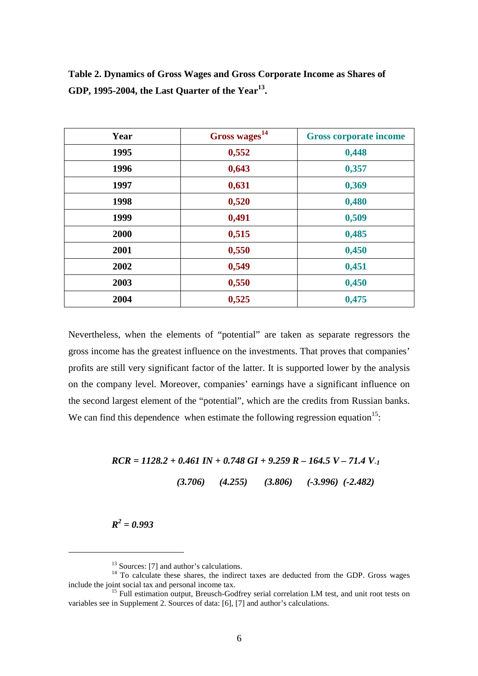| Year | Gross wages <sup>14</sup> | <b>Gross corporate income</b> |
|------|---------------------------|-------------------------------|
| 1995 | 0,552                     | 0,448                         |
| 1996 | 0,643                     | 0,357                         |
| 1997 | 0,631                     | 0,369                         |
| 1998 | 0,520                     | 0,480                         |
| 1999 | 0,491                     | 0,509                         |
| 2000 | 0,515                     | 0,485                         |
| 2001 | 0,550                     | 0,450                         |
| 2002 | 0,549                     | 0,451                         |
| 2003 | 0,550                     | 0,450                         |
| 2004 | 0,525                     | 0,475                         |

**Table 2. Dynamics of Gross Wages and Gross Corporate Income as Shares of GDP, 1995-2004, the Last Quarter of the Year13.** 

Nevertheless, when the elements of "potential" are taken as separate regressors the gross income has the greatest influence on the investments. That proves that companies' profits are still very significant factor of the latter. It is supported lower by the analysis on the company level. Moreover, companies' earnings have a significant influence on the second largest element of the "potential", which are the credits from Russian banks. We can find this dependence when estimate the following regression equation<sup>15</sup>:

# *RCR = 1128.2 + 0.461 IN + 0.748 GI + 9.259 R – 164.5 V – 71.4 V-1*

 *(3.706) (4.255) (3.806) (-3.996) (-2.482)* 

 $R^2 = 0.993$ 

 $\overline{a}$ 

<sup>&</sup>lt;sup>13</sup> Sources: [7] and author's calculations.

 $14$  To calculate these shares, the indirect taxes are deducted from the GDP. Gross wages include the joint social tax and personal income tax.

<sup>&</sup>lt;sup>15</sup> Full estimation output, Breusch-Godfrey serial correlation LM test, and unit root tests on variables see in Supplement 2. Sources of data: [6], [7] and author's calculations.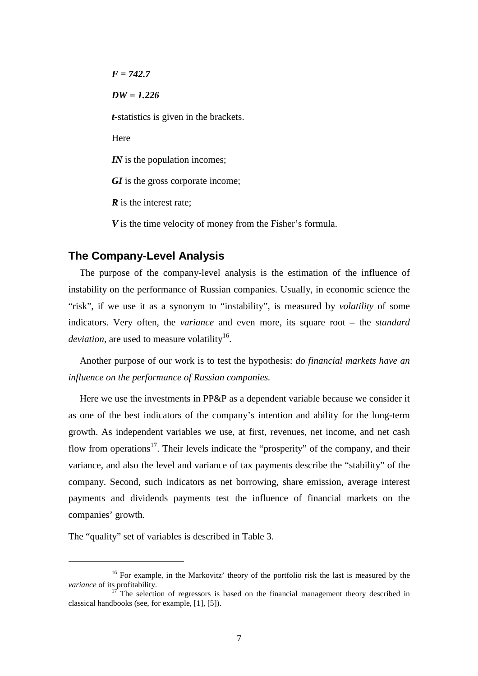*F = 742.7 DW = 1.226 t-*statistics is given in the brackets. Here *<i>IN* is the population incomes; *GI* is the gross corporate income; *R* is the interest rate:

*V* is the time velocity of money from the Fisher's formula.

#### **The Company-Level Analysis**

 The purpose of the company-level analysis is the estimation of the influence of instability on the performance of Russian companies. Usually, in economic science the "risk", if we use it as a synonym to "instability", is measured by *volatility* of some indicators. Very often, the *variance* and even more, its square root – the *standard deviation*, are used to measure volatility<sup>16</sup>.

 Another purpose of our work is to test the hypothesis: *do financial markets have an influence on the performance of Russian companies.* 

Here we use the investments in PP&P as a dependent variable because we consider it as one of the best indicators of the company's intention and ability for the long-term growth. As independent variables we use, at first, revenues, net income, and net cash flow from operations<sup>17</sup>. Their levels indicate the "prosperity" of the company, and their variance, and also the level and variance of tax payments describe the "stability" of the company. Second, such indicators as net borrowing, share emission, average interest payments and dividends payments test the influence of financial markets on the companies' growth.

The "quality" set of variables is described in Table 3.

 $\overline{a}$ 

<sup>&</sup>lt;sup>16</sup> For example, in the Markovitz' theory of the portfolio risk the last is measured by the *variance* of its profitability.<br><sup>17</sup> The selection of regressors is based on the financial management theory described in

classical handbooks (see, for example, [1], [5]).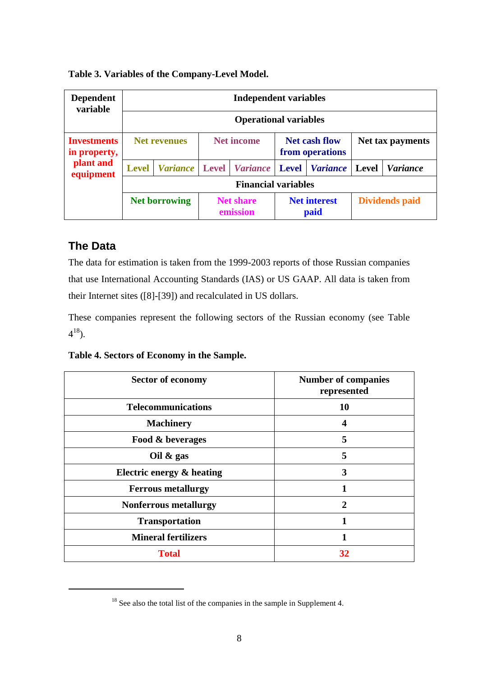| <b>Dependent</b><br>variable       | <b>Independent variables</b> |                              |                                                              |                 |                             |                 |              |                       |
|------------------------------------|------------------------------|------------------------------|--------------------------------------------------------------|-----------------|-----------------------------|-----------------|--------------|-----------------------|
|                                    |                              | <b>Operational variables</b> |                                                              |                 |                             |                 |              |                       |
| <b>Investments</b><br>in property, |                              | <b>Net revenues</b>          | <b>Net income</b><br><b>Net cash flow</b><br>from operations |                 |                             |                 |              | Net tax payments      |
| plant and<br>equipment             | <b>Level</b>                 | <b>Variance</b>              | <b>Level</b>                                                 | <b>Variance</b> | <b>Level</b>                | <i>Variance</i> | <b>Level</b> | <i>Variance</i>       |
|                                    | <b>Financial variables</b>   |                              |                                                              |                 |                             |                 |              |                       |
|                                    |                              | <b>Net borrowing</b>         | <b>Net share</b><br>emission                                 |                 | <b>Net interest</b><br>paid |                 |              | <b>Dividends paid</b> |

#### **Table 3. Variables of the Company-Level Model.**

## **The Data**

 $\overline{a}$ 

The data for estimation is taken from the 1999-2003 reports of those Russian companies that use International Accounting Standards (IAS) or US GAAP. All data is taken from their Internet sites ([8]-[39]) and recalculated in US dollars.

These companies represent the following sectors of the Russian economy (see Table  $4^{18}$ ).

**Table 4. Sectors of Economy in the Sample.**

| <b>Sector of economy</b>     | <b>Number of companies</b><br>represented |
|------------------------------|-------------------------------------------|
| <b>Telecommunications</b>    | 10                                        |
| <b>Machinery</b>             | 4                                         |
| Food & beverages             | 5                                         |
| Oil $\&$ gas                 | 5                                         |
| Electric energy & heating    | 3                                         |
| <b>Ferrous metallurgy</b>    | 1                                         |
| <b>Nonferrous metallurgy</b> | $\mathbf{2}$                              |
| <b>Transportation</b>        | 1                                         |
| <b>Mineral fertilizers</b>   |                                           |
| <b>Total</b>                 | 32                                        |

<sup>&</sup>lt;sup>18</sup> See also the total list of the companies in the sample in Supplement 4.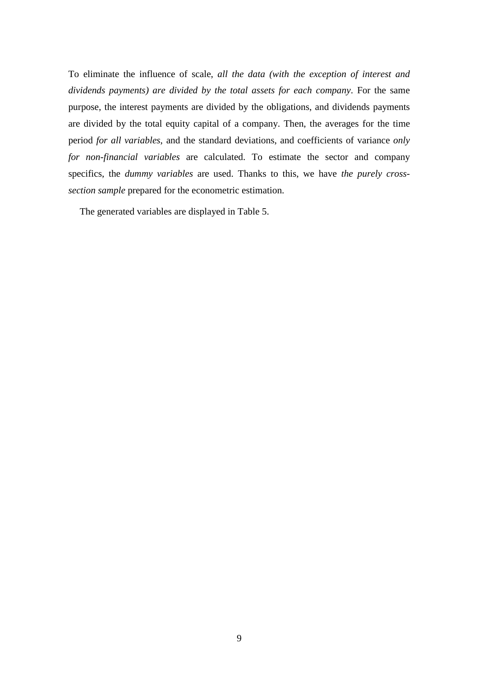To eliminate the influence of scale, *all the data (with the exception of interest and dividends payments) are divided by the total assets for each company*. For the same purpose, the interest payments are divided by the obligations, and dividends payments are divided by the total equity capital of a company. Then, the averages for the time period *for all variables*, and the standard deviations, and coefficients of variance *only for non-financial variables* are calculated. To estimate the sector and company specifics, the *dummy variables* are used. Thanks to this, we have *the purely crosssection sample* prepared for the econometric estimation.

The generated variables are displayed in Table 5.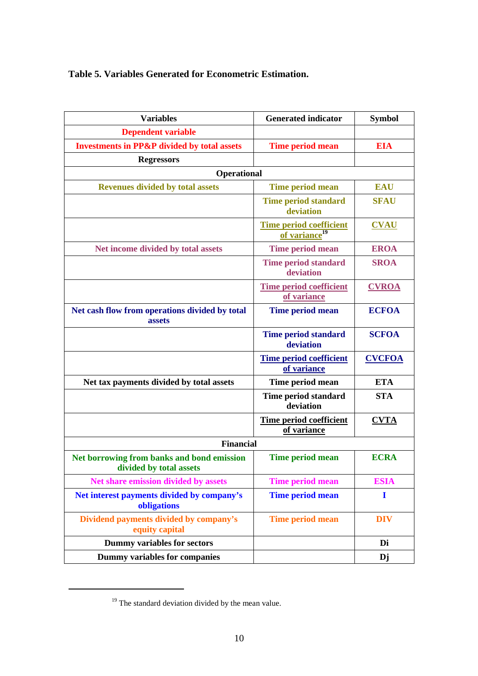## **Table 5. Variables Generated for Econometric Estimation.**

| <b>Variables</b>                                                      | <b>Generated indicator</b>                                  | <b>Symbol</b> |
|-----------------------------------------------------------------------|-------------------------------------------------------------|---------------|
| <b>Dependent variable</b>                                             |                                                             |               |
| <b>Investments in PP&amp;P divided by total assets</b>                | <b>Time period mean</b>                                     | <b>EIA</b>    |
| <b>Regressors</b>                                                     |                                                             |               |
| <b>Operational</b>                                                    |                                                             |               |
| <b>Revenues divided by total assets</b>                               | <b>Time period mean</b>                                     | <b>EAU</b>    |
|                                                                       | <b>Time period standard</b><br>deviation                    | <b>SFAU</b>   |
|                                                                       | <b>Time period coefficient</b><br>of variance <sup>19</sup> | <b>CVAU</b>   |
| Net income divided by total assets                                    | Time period mean                                            | <b>EROA</b>   |
|                                                                       | <b>Time period standard</b><br>deviation                    | <b>SROA</b>   |
|                                                                       | <b>Time period coefficient</b><br>of variance               | <b>CVROA</b>  |
| Net cash flow from operations divided by total<br>assets              | Time period mean                                            | <b>ECFOA</b>  |
|                                                                       | <b>Time period standard</b><br>deviation                    | <b>SCFOA</b>  |
|                                                                       | <b>Time period coefficient</b><br>of variance               | <b>CVCFOA</b> |
| Net tax payments divided by total assets                              | Time period mean                                            | <b>ETA</b>    |
|                                                                       | Time period standard<br>deviation                           | <b>STA</b>    |
|                                                                       | Time period coefficient<br>of variance                      | <b>CVTA</b>   |
| <b>Financial</b>                                                      |                                                             |               |
| Net borrowing from banks and bond emission<br>divided by total assets | Time period mean                                            | <b>ECRA</b>   |
| Net share emission divided by assets                                  | <b>Time period mean</b>                                     | <b>ESIA</b>   |
| Net interest payments divided by company's<br>obligations             | <b>Time period mean</b>                                     | I             |
| Dividend payments divided by company's<br>equity capital              | <b>Time period mean</b>                                     | <b>DIV</b>    |
| <b>Dummy variables for sectors</b>                                    |                                                             | Di            |
| Dummy variables for companies                                         |                                                             | Dj            |

<sup>&</sup>lt;sup>19</sup> The standard deviation divided by the mean value.

 $\overline{a}$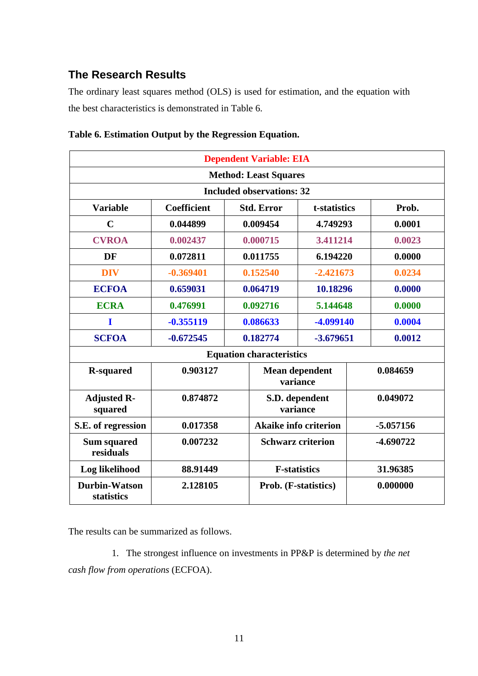## **The Research Results**

The ordinary least squares method (OLS) is used for estimation, and the equation with the best characteristics is demonstrated in Table 6.

|                                    | <b>Dependent Variable: EIA</b> |          |                                  |                                   |  |             |
|------------------------------------|--------------------------------|----------|----------------------------------|-----------------------------------|--|-------------|
|                                    |                                |          | <b>Method: Least Squares</b>     |                                   |  |             |
|                                    |                                |          | <b>Included observations: 32</b> |                                   |  |             |
| <b>Variable</b>                    | <b>Coefficient</b>             |          | <b>Std. Error</b>                | t-statistics                      |  | Prob.       |
| $\mathbf C$                        | 0.044899                       |          | 0.009454                         | 4.749293                          |  | 0.0001      |
| <b>CVROA</b>                       | 0.002437                       |          | 0.000715                         | 3.411214                          |  | 0.0023      |
| DF                                 | 0.072811                       |          | 0.011755                         | 6.194220                          |  | 0.0000      |
| <b>DIV</b>                         | $-0.369401$                    |          | 0.152540                         | $-2.421673$                       |  | 0.0234      |
| <b>ECFOA</b>                       | 0.659031                       | 0.064719 |                                  | 10.18296                          |  | 0.0000      |
| <b>ECRA</b>                        | 0.476991                       | 0.092716 |                                  | 5.144648                          |  | 0.0000      |
| 1                                  | $-0.355119$                    | 0.086633 |                                  | -4.099140                         |  | 0.0004      |
| <b>SCFOA</b>                       | $-0.672545$                    |          | 0.182774                         | $-3.679651$                       |  | 0.0012      |
|                                    |                                |          | <b>Equation characteristics</b>  |                                   |  |             |
| <b>R-squared</b>                   | 0.903127                       |          |                                  | <b>Mean dependent</b><br>variance |  | 0.084659    |
| <b>Adjusted R-</b><br>squared      | 0.874872                       |          |                                  | S.D. dependent<br>variance        |  | 0.049072    |
| S.E. of regression                 | 0.017358                       |          |                                  | <b>Akaike info criterion</b>      |  | $-5.057156$ |
| <b>Sum squared</b><br>residuals    | 0.007232                       |          |                                  | <b>Schwarz criterion</b>          |  | -4.690722   |
| Log likelihood                     | 88.91449                       |          |                                  | <b>F-statistics</b>               |  | 31.96385    |
| <b>Durbin-Watson</b><br>statistics | 2.128105                       |          |                                  | Prob. (F-statistics)              |  | 0.000000    |

#### **Table 6. Estimation Output by the Regression Equation.**

The results can be summarized as follows.

1. The strongest influence on investments in PP&P is determined by *the net cash flow from operations* (ECFOA).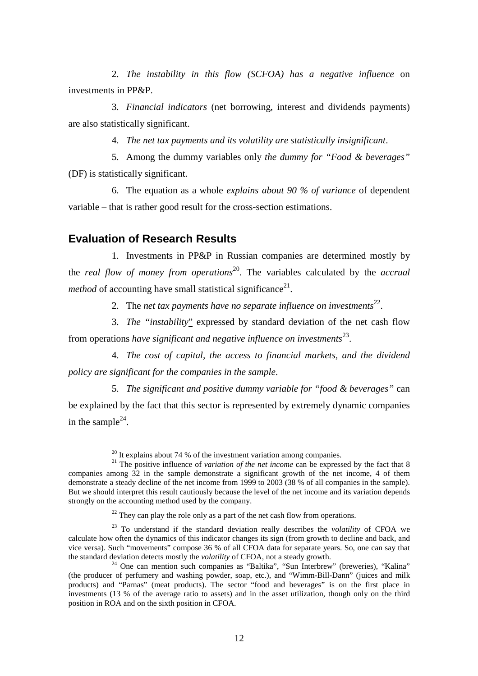2. *The instability in this flow (SCFOA) has a negative influence* on investments in PP&P.

3. *Financial indicators* (net borrowing, interest and dividends payments) are also statistically significant.

4. *The net tax payments and its volatility are statistically insignificant*.

5. Among the dummy variables only *the dummy for "Food & beverages"* (DF) is statistically significant.

6. The equation as a whole *explains about 90 % of variance* of dependent variable – that is rather good result for the cross-section estimations.

## **Evaluation of Research Results**

 $\overline{a}$ 

1. Investments in PP&P in Russian companies are determined mostly by the *real flow of money from operations*20. The variables calculated by the *accrual method* of accounting have small statistical significance<sup>21</sup>.

2. The *net tax payments have no separate influence on investments*<sup>22</sup>.

3. *The "instability*" expressed by standard deviation of the net cash flow from operations *have significant and negative influence on investments*23.

4. *The cost of capital, the access to financial markets, and the dividend policy are significant for the companies in the sample*.

5. *The significant and positive dummy variable for "food & beverages"* can be explained by the fact that this sector is represented by extremely dynamic companies in the sample<sup>24</sup>.

 $^{20}$  It explains about 74 % of the investment variation among companies.

<sup>&</sup>lt;sup>21</sup> The positive influence of *variation of the net income* can be expressed by the fact that 8 companies among 32 in the sample demonstrate a significant growth of the net income, 4 of them demonstrate a steady decline of the net income from 1999 to 2003 (38 % of all companies in the sample). But we should interpret this result cautiously because the level of the net income and its variation depends strongly on the accounting method used by the company.

 $22$  They can play the role only as a part of the net cash flow from operations.

<sup>23</sup> To understand if the standard deviation really describes the *volatility* of CFOA we calculate how often the dynamics of this indicator changes its sign (from growth to decline and back, and vice versa). Such "movements" compose 36 % of all CFOA data for separate years. So, one can say that the standard deviation detects mostly the *volatility* of CFOA, not a steady growth.

<sup>&</sup>lt;sup>24</sup> One can mention such companies as "Baltika", "Sun Interbrew" (breweries), "Kalina" (the producer of perfumery and washing powder, soap, etc.), and "Wimm-Bill-Dann" (juices and milk products) and "Parnas" (meat products). The sector "food and beverages" is on the first place in investments (13 % of the average ratio to assets) and in the asset utilization, though only on the third position in ROA and on the sixth position in CFOA.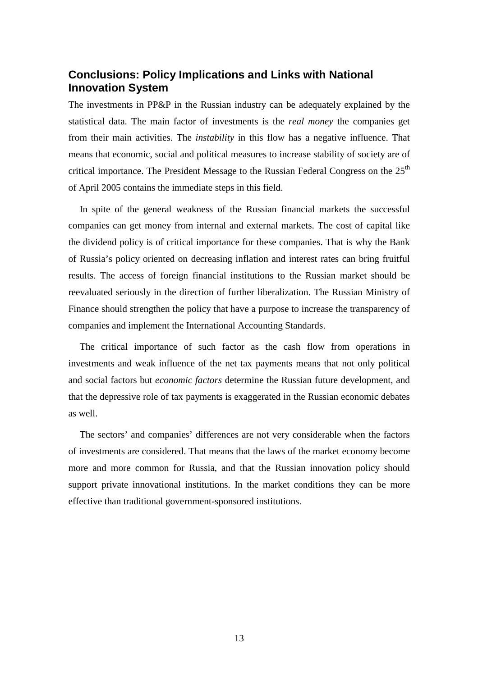## **Conclusions: Policy Implications and Links with National Innovation System**

The investments in PP&P in the Russian industry can be adequately explained by the statistical data. The main factor of investments is the *real money* the companies get from their main activities. The *instability* in this flow has a negative influence. That means that economic, social and political measures to increase stability of society are of critical importance. The President Message to the Russian Federal Congress on the  $25<sup>th</sup>$ of April 2005 contains the immediate steps in this field.

 In spite of the general weakness of the Russian financial markets the successful companies can get money from internal and external markets. The cost of capital like the dividend policy is of critical importance for these companies. That is why the Bank of Russia's policy oriented on decreasing inflation and interest rates can bring fruitful results. The access of foreign financial institutions to the Russian market should be reevaluated seriously in the direction of further liberalization. The Russian Ministry of Finance should strengthen the policy that have a purpose to increase the transparency of companies and implement the International Accounting Standards.

 The critical importance of such factor as the cash flow from operations in investments and weak influence of the net tax payments means that not only political and social factors but *economic factors* determine the Russian future development, and that the depressive role of tax payments is exaggerated in the Russian economic debates as well.

 The sectors' and companies' differences are not very considerable when the factors of investments are considered. That means that the laws of the market economy become more and more common for Russia, and that the Russian innovation policy should support private innovational institutions. In the market conditions they can be more effective than traditional government-sponsored institutions.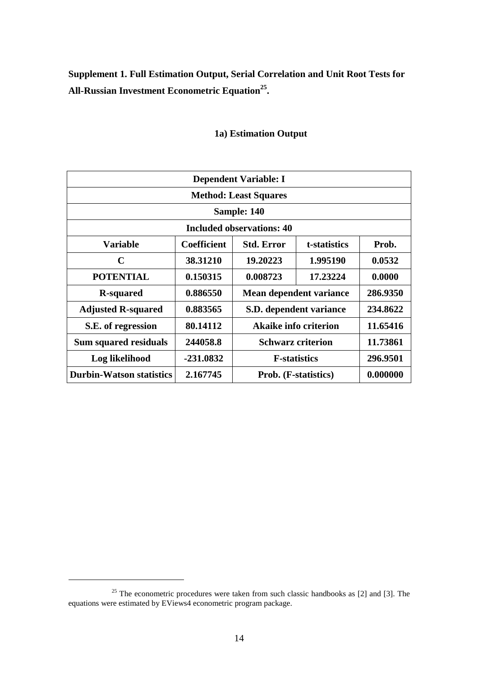**Supplement 1. Full Estimation Output, Serial Correlation and Unit Root Tests for All-Russian Investment Econometric Equation25.** 

| <b>Dependent Variable: I</b>    |                              |                                  |                                      |          |  |  |  |
|---------------------------------|------------------------------|----------------------------------|--------------------------------------|----------|--|--|--|
|                                 | <b>Method: Least Squares</b> |                                  |                                      |          |  |  |  |
| Sample: 140                     |                              |                                  |                                      |          |  |  |  |
|                                 |                              | <b>Included observations: 40</b> |                                      |          |  |  |  |
| <b>Variable</b>                 | <b>Coefficient</b>           | <b>Std. Error</b>                | t-statistics                         | Prob.    |  |  |  |
| $\mathbf C$                     | 38.31210                     | 19.20223                         | 1.995190                             | 0.0532   |  |  |  |
| <b>POTENTIAL</b>                | 0.150315                     | 0.008723                         | 17.23224                             | 0.0000   |  |  |  |
| <b>R-squared</b>                | 0.886550                     |                                  | Mean dependent variance              | 286.9350 |  |  |  |
| <b>Adjusted R-squared</b>       | 0.883565                     |                                  | S.D. dependent variance              | 234.8622 |  |  |  |
| S.E. of regression              | 80.14112                     |                                  | <b>Akaike info criterion</b>         | 11.65416 |  |  |  |
| <b>Sum squared residuals</b>    | 244058.8                     |                                  | <b>Schwarz criterion</b>             | 11.73861 |  |  |  |
| Log likelihood                  | -231.0832                    |                                  | <b>F</b> -statistics                 | 296.9501 |  |  |  |
| <b>Durbin-Watson statistics</b> | 2.167745                     |                                  | <b>Prob.</b> ( <b>F</b> -statistics) | 0.000000 |  |  |  |

## **1a) Estimation Output**

 $\overline{a}$ 

 $25$  The econometric procedures were taken from such classic handbooks as [2] and [3]. The equations were estimated by EViews4 econometric program package.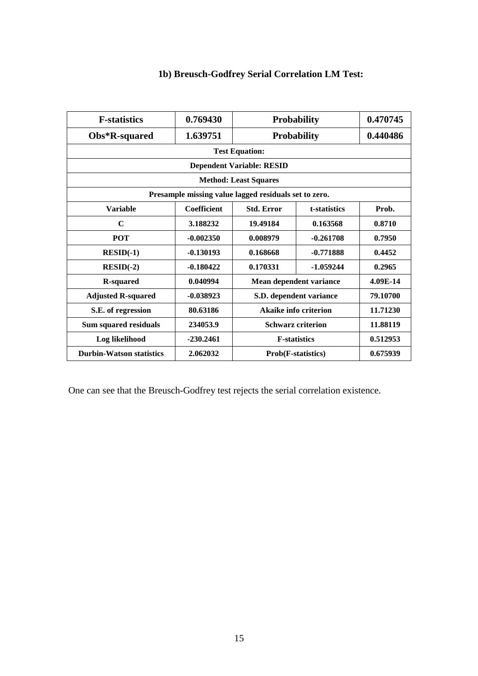| <b>F-statistics</b>                                   | 0.769430              |                                   | <b>Probability</b> |          |  |  |  |
|-------------------------------------------------------|-----------------------|-----------------------------------|--------------------|----------|--|--|--|
|                                                       |                       |                                   |                    |          |  |  |  |
| Obs*R-squared                                         | 1.639751              | <b>Probability</b>                |                    | 0.440486 |  |  |  |
|                                                       | <b>Test Equation:</b> |                                   |                    |          |  |  |  |
| <b>Dependent Variable: RESID</b>                      |                       |                                   |                    |          |  |  |  |
| <b>Method: Least Squares</b>                          |                       |                                   |                    |          |  |  |  |
| Presample missing value lagged residuals set to zero. |                       |                                   |                    |          |  |  |  |
| <b>Variable</b>                                       | <b>Coefficient</b>    | <b>Std. Error</b>                 | t-statistics       | Prob.    |  |  |  |
| $\mathbf C$                                           | 3.188232              | 19.49184                          | 0.163568           | 0.8710   |  |  |  |
| <b>POT</b>                                            | $-0.002350$           | 0.008979                          | $-0.261708$        | 0.7950   |  |  |  |
| $RESID(-1)$                                           | $-0.130193$           | 0.168668                          | -0.771888          | 0.4452   |  |  |  |
| $RESID(-2)$                                           | $-0.180422$           | 0.170331                          | -1.059244          | 0.2965   |  |  |  |
| <b>R-squared</b>                                      | 0.040994              | Mean dependent variance           |                    | 4.09E-14 |  |  |  |
| <b>Adjusted R-squared</b>                             | $-0.038923$           | S.D. dependent variance           |                    | 79.10700 |  |  |  |
| S.E. of regression                                    | 80.63186              | Akaike info criterion<br>11.71230 |                    |          |  |  |  |
| Sum squared residuals                                 | 234053.9              | <b>Schwarz criterion</b>          |                    | 11.88119 |  |  |  |
| Log likelihood                                        | $-230.2461$           | <b>F-statistics</b><br>0.512953   |                    |          |  |  |  |
| <b>Durbin-Watson statistics</b>                       | 2.062032              | <b>Prob(F-statistics)</b>         |                    | 0.675939 |  |  |  |

## **1b) Breusch-Godfrey Serial Correlation LM Test:**

One can see that the Breusch-Godfrey test rejects the serial correlation existence.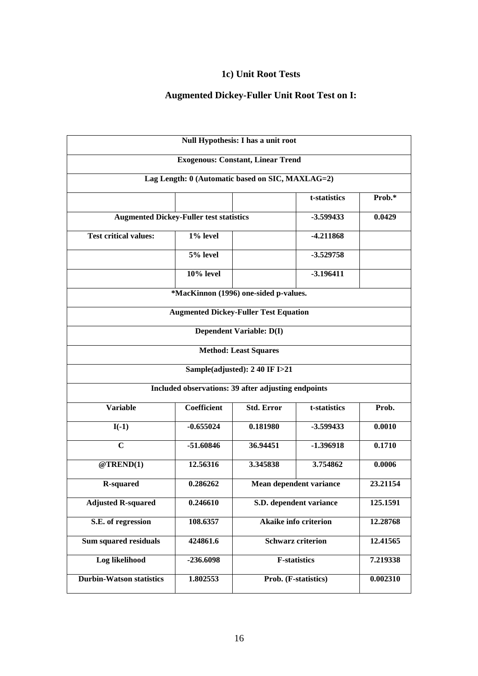#### **1c) Unit Root Tests**

# **Augmented Dickey-Fuller Unit Root Test on I:**

 $\blacksquare$ 

٦

| Null Hypothesis: I has a unit root             |                                  |                                                                                                                |                                                                                                                                                                                                                                                                                                                                                                                                      |  |  |  |
|------------------------------------------------|----------------------------------|----------------------------------------------------------------------------------------------------------------|------------------------------------------------------------------------------------------------------------------------------------------------------------------------------------------------------------------------------------------------------------------------------------------------------------------------------------------------------------------------------------------------------|--|--|--|
|                                                |                                  |                                                                                                                |                                                                                                                                                                                                                                                                                                                                                                                                      |  |  |  |
|                                                |                                  |                                                                                                                |                                                                                                                                                                                                                                                                                                                                                                                                      |  |  |  |
|                                                |                                  | t-statistics                                                                                                   | Prob.*                                                                                                                                                                                                                                                                                                                                                                                               |  |  |  |
| <b>Augmented Dickey-Fuller test statistics</b> |                                  |                                                                                                                |                                                                                                                                                                                                                                                                                                                                                                                                      |  |  |  |
| 1% level                                       |                                  | -4.211868                                                                                                      |                                                                                                                                                                                                                                                                                                                                                                                                      |  |  |  |
| 5% level                                       |                                  | $-3.529758$                                                                                                    |                                                                                                                                                                                                                                                                                                                                                                                                      |  |  |  |
| $10\%$ level                                   |                                  | $-3.196411$                                                                                                    |                                                                                                                                                                                                                                                                                                                                                                                                      |  |  |  |
|                                                |                                  |                                                                                                                |                                                                                                                                                                                                                                                                                                                                                                                                      |  |  |  |
|                                                |                                  |                                                                                                                |                                                                                                                                                                                                                                                                                                                                                                                                      |  |  |  |
|                                                |                                  |                                                                                                                |                                                                                                                                                                                                                                                                                                                                                                                                      |  |  |  |
|                                                |                                  |                                                                                                                |                                                                                                                                                                                                                                                                                                                                                                                                      |  |  |  |
|                                                |                                  |                                                                                                                |                                                                                                                                                                                                                                                                                                                                                                                                      |  |  |  |
|                                                |                                  |                                                                                                                |                                                                                                                                                                                                                                                                                                                                                                                                      |  |  |  |
| <b>Coefficient</b>                             | <b>Std. Error</b>                | t-statistics                                                                                                   | Prob.                                                                                                                                                                                                                                                                                                                                                                                                |  |  |  |
| $-0.655024$                                    | 0.181980                         | $-3.599433$                                                                                                    | 0.0010                                                                                                                                                                                                                                                                                                                                                                                               |  |  |  |
| -51.60846                                      | 36.94451                         | $-1.396918$                                                                                                    | 0.1710                                                                                                                                                                                                                                                                                                                                                                                               |  |  |  |
| 12.56316                                       | 3.345838                         | 3.754862                                                                                                       | 0.0006                                                                                                                                                                                                                                                                                                                                                                                               |  |  |  |
| 0.286262                                       |                                  |                                                                                                                | 23.21154                                                                                                                                                                                                                                                                                                                                                                                             |  |  |  |
| 0.246610                                       |                                  |                                                                                                                | 125.1591                                                                                                                                                                                                                                                                                                                                                                                             |  |  |  |
| 108.6357                                       |                                  |                                                                                                                | 12.28768                                                                                                                                                                                                                                                                                                                                                                                             |  |  |  |
| 424861.6                                       |                                  |                                                                                                                | 12.41565                                                                                                                                                                                                                                                                                                                                                                                             |  |  |  |
| $-236.6098$                                    |                                  |                                                                                                                | 7.219338                                                                                                                                                                                                                                                                                                                                                                                             |  |  |  |
| 1.802553                                       | Prob. (F-statistics)<br>0.002310 |                                                                                                                |                                                                                                                                                                                                                                                                                                                                                                                                      |  |  |  |
|                                                |                                  | <b>Dependent Variable: D(I)</b><br><b>Method: Least Squares</b><br>Sample(adjusted): 2 40 IF $\overline{1>21}$ | <b>Exogenous: Constant, Linear Trend</b><br>Lag Length: 0 (Automatic based on SIC, MAXLAG=2)<br>$-3.599433$<br>*MacKinnon (1996) one-sided p-values.<br><b>Augmented Dickey-Fuller Test Equation</b><br>Included observations: 39 after adjusting endpoints<br>Mean dependent variance<br>S.D. dependent variance<br><b>Akaike info criterion</b><br><b>Schwarz criterion</b><br><b>F-statistics</b> |  |  |  |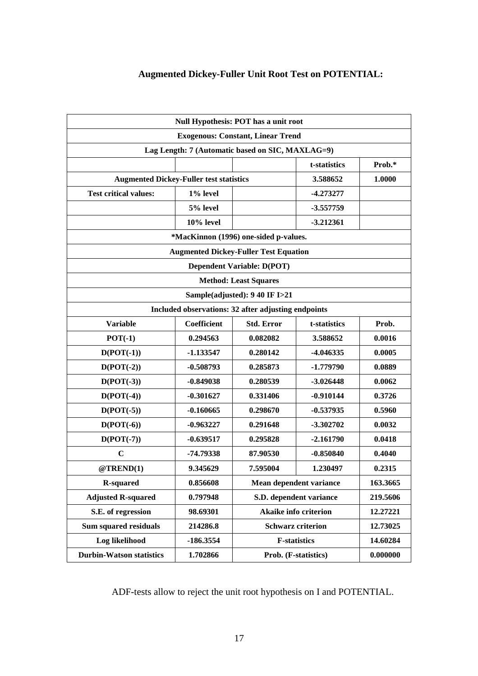## **Augmented Dickey-Fuller Unit Root Test on POTENTIAL:**

|                                                     | Null Hypothesis: POT has a unit root |                                              |                              |          |  |  |
|-----------------------------------------------------|--------------------------------------|----------------------------------------------|------------------------------|----------|--|--|
|                                                     |                                      | <b>Exogenous: Constant, Linear Trend</b>     |                              |          |  |  |
| Lag Length: 7 (Automatic based on SIC, MAXLAG=9)    |                                      |                                              |                              |          |  |  |
|                                                     |                                      |                                              | t-statistics                 | Prob.*   |  |  |
| <b>Augmented Dickey-Fuller test statistics</b>      |                                      |                                              | 3.588652                     | 1.0000   |  |  |
| <b>Test critical values:</b>                        | 1% level                             |                                              | $-4.273277$                  |          |  |  |
|                                                     | 5% level                             |                                              | $-3.557759$                  |          |  |  |
|                                                     | $10\%$ level                         |                                              | $-3.212361$                  |          |  |  |
|                                                     |                                      | *MacKinnon (1996) one-sided p-values.        |                              |          |  |  |
|                                                     |                                      | <b>Augmented Dickey-Fuller Test Equation</b> |                              |          |  |  |
|                                                     |                                      | <b>Dependent Variable: D(POT)</b>            |                              |          |  |  |
|                                                     |                                      | <b>Method: Least Squares</b>                 |                              |          |  |  |
|                                                     | Sample(adjusted): 9 40 IF I>21       |                                              |                              |          |  |  |
| Included observations: 32 after adjusting endpoints |                                      |                                              |                              |          |  |  |
| <b>Variable</b>                                     | Coefficient                          | <b>Std. Error</b>                            | t-statistics                 | Prob.    |  |  |
| $POT(-1)$                                           | 0.294563                             | 0.082082                                     | 3.588652                     | 0.0016   |  |  |
| $D(POT(-1))$                                        | $-1.133547$                          | 0.280142                                     | -4.046335                    | 0.0005   |  |  |
| $D(POT(-2))$                                        | $-0.508793$                          | 0.285873                                     | $-1.779790$                  | 0.0889   |  |  |
| $D(POT(-3))$                                        | $-0.849038$                          | 0.280539                                     | $-3.026448$                  | 0.0062   |  |  |
| $D(POT(-4))$                                        | $-0.301627$                          | 0.331406                                     | $-0.910144$                  | 0.3726   |  |  |
| $D(POT(-5))$                                        | $-0.160665$                          | 0.298670                                     | $-0.537935$                  | 0.5960   |  |  |
| $D(POT(-6))$                                        | $-0.963227$                          | 0.291648                                     | $-3.302702$                  | 0.0032   |  |  |
| $D(POT(-7))$                                        | $-0.639517$                          | 0.295828                                     | $-2.161790$                  | 0.0418   |  |  |
| $\mathbf C$                                         | -74.79338                            | 87.90530                                     | $-0.850840$                  | 0.4040   |  |  |
| @TREND(1)                                           | 9.345629                             | 7.595004                                     | 1.230497                     | 0.2315   |  |  |
| <b>R-squared</b>                                    | 0.856608                             |                                              | Mean dependent variance      | 163.3665 |  |  |
| <b>Adjusted R-squared</b>                           | 0.797948                             |                                              | S.D. dependent variance      | 219.5606 |  |  |
| S.E. of regression                                  | 98.69301                             |                                              | <b>Akaike info criterion</b> | 12.27221 |  |  |
| <b>Sum squared residuals</b>                        | 214286.8                             |                                              | <b>Schwarz criterion</b>     | 12.73025 |  |  |
| Log likelihood                                      | $-186.3554$                          |                                              | <b>F-statistics</b>          | 14.60284 |  |  |
| <b>Durbin-Watson statistics</b>                     | 1.702866                             |                                              | Prob. (F-statistics)         | 0.000000 |  |  |

ADF-tests allow to reject the unit root hypothesis on I and POTENTIAL.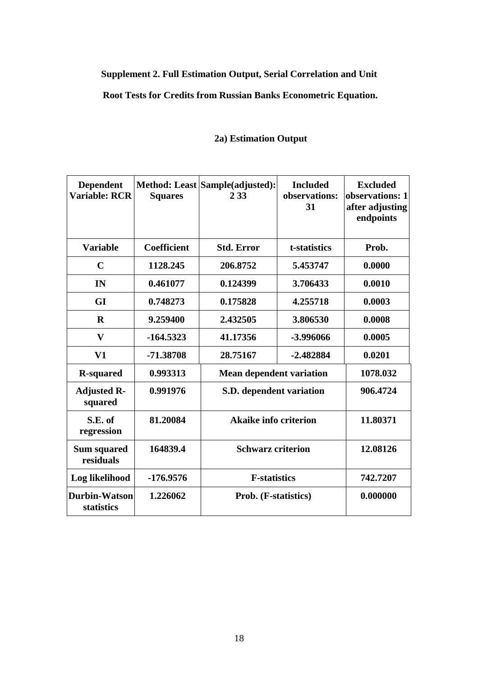## **Supplement 2. Full Estimation Output, Serial Correlation and Unit**

## **Root Tests for Credits from Russian Banks Econometric Equation.**

| <b>Dependent</b><br><b>Variable: RCR</b> | <b>Squares</b>     | Method: Least Sample(adjusted):<br>2 3 3 | <b>Included</b><br>observations:<br>31 | <b>Excluded</b><br>observations: 1<br>after adjusting<br>endpoints |
|------------------------------------------|--------------------|------------------------------------------|----------------------------------------|--------------------------------------------------------------------|
| <b>Variable</b>                          | <b>Coefficient</b> | <b>Std. Error</b>                        | t-statistics                           | Prob.                                                              |
| $\mathbf C$                              | 1128.245           | 206.8752                                 | 5.453747                               | 0.0000                                                             |
| IN                                       | 0.461077           | 0.124399                                 | 3.706433                               | 0.0010                                                             |
| GI                                       | 0.748273           | 0.175828                                 | 4.255718                               | 0.0003                                                             |
| $\bf{R}$                                 | 9.259400           | 2.432505                                 | 3.806530                               | 0.0008                                                             |
| V                                        | $-164.5323$        | 41.17356                                 | -3.996066                              | 0.0005                                                             |
| V1                                       | -71.38708          | 28.75167                                 | $-2.482884$                            | 0.0201                                                             |
| <b>R-squared</b>                         | 0.993313           | <b>Mean dependent variation</b>          |                                        | 1078.032                                                           |
| <b>Adjusted R-</b><br>squared            | 0.991976           |                                          | S.D. dependent variation               |                                                                    |
| S.E. of<br>regression                    | 81.20084           | <b>Akaike info criterion</b>             |                                        | 11.80371                                                           |
| <b>Sum squared</b><br>residuals          | 164839.4           | <b>Schwarz criterion</b>                 |                                        | 12.08126                                                           |
| Log likelihood                           | -176.9576          | <b>F-statistics</b>                      | 742.7207                               |                                                                    |
| <b>Durbin-Watson</b><br>statistics       | 1.226062           | Prob. (F-statistics)                     |                                        | 0.000000                                                           |

## **2a) Estimation Output**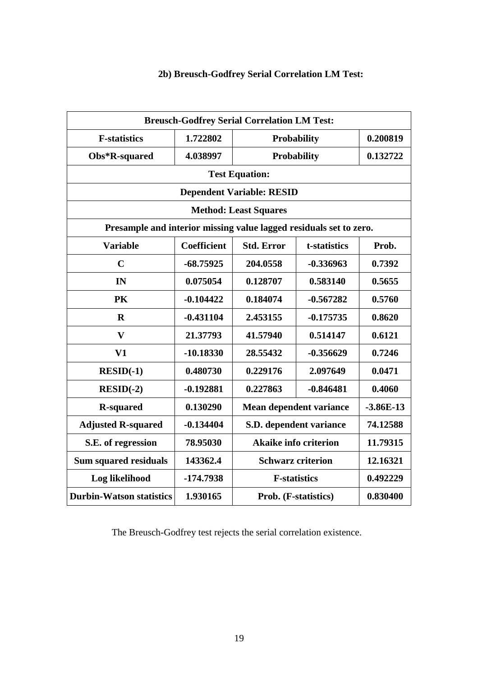| <b>Breusch-Godfrey Serial Correlation LM Test:</b>                 |                    |                                  |                    |             |  |
|--------------------------------------------------------------------|--------------------|----------------------------------|--------------------|-------------|--|
| <b>F-statistics</b>                                                | 1.722802           | <b>Probability</b>               |                    | 0.200819    |  |
| Obs*R-squared                                                      | 4.038997           |                                  | <b>Probability</b> | 0.132722    |  |
|                                                                    |                    | <b>Test Equation:</b>            |                    |             |  |
|                                                                    |                    | <b>Dependent Variable: RESID</b> |                    |             |  |
|                                                                    |                    | <b>Method: Least Squares</b>     |                    |             |  |
| Presample and interior missing value lagged residuals set to zero. |                    |                                  |                    |             |  |
| <b>Variable</b>                                                    | <b>Coefficient</b> | <b>Std. Error</b>                | t-statistics       | Prob.       |  |
| $\mathbf C$                                                        | $-68.75925$        | 204.0558                         | $-0.336963$        | 0.7392      |  |
| IN                                                                 | 0.075054           | 0.128707                         | 0.583140           | 0.5655      |  |
| PK                                                                 | $-0.104422$        | 0.184074                         | $-0.567282$        | 0.5760      |  |
| $\mathbf R$                                                        | $-0.431104$        | 2.453155                         | $-0.175735$        | 0.8620      |  |
| $\mathbf{V}$                                                       | 21.37793           | 41.57940                         | 0.514147           | 0.6121      |  |
| V1                                                                 | $-10.18330$        | 28.55432                         | $-0.356629$        | 0.7246      |  |
| $RESID(-1)$                                                        | 0.480730           | 0.229176                         | 2.097649           | 0.0471      |  |
| $RESID(-2)$                                                        | $-0.192881$        | 0.227863                         | $-0.846481$        | 0.4060      |  |
| <b>R-squared</b>                                                   | 0.130290           | Mean dependent variance          |                    | $-3.86E-13$ |  |
| <b>Adjusted R-squared</b>                                          | $-0.134404$        | S.D. dependent variance          |                    | 74.12588    |  |
| S.E. of regression                                                 | 78.95030           | <b>Akaike info criterion</b>     |                    | 11.79315    |  |
| <b>Sum squared residuals</b>                                       | 143362.4           | <b>Schwarz criterion</b>         |                    | 12.16321    |  |
| Log likelihood                                                     | $-174.7938$        | <b>F-statistics</b><br>0.492229  |                    |             |  |
| <b>Durbin-Watson statistics</b>                                    | 1.930165           | 0.830400<br>Prob. (F-statistics) |                    |             |  |

## **2b) Breusch-Godfrey Serial Correlation LM Test:**

The Breusch-Godfrey test rejects the serial correlation existence.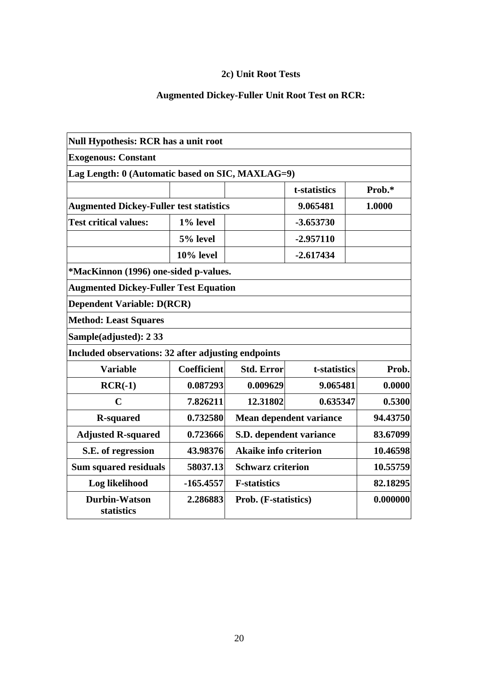## **2c) Unit Root Tests**

# **Augmented Dickey-Fuller Unit Root Test on RCR:**

| <b>Null Hypothesis: RCR has a unit root</b>         |              |                                          |                         |          |
|-----------------------------------------------------|--------------|------------------------------------------|-------------------------|----------|
| <b>Exogenous: Constant</b>                          |              |                                          |                         |          |
| Lag Length: 0 (Automatic based on SIC, MAXLAG=9)    |              |                                          |                         |          |
|                                                     |              |                                          | t-statistics            | Prob.*   |
| <b>Augmented Dickey-Fuller test statistics</b>      |              |                                          | 9.065481                | 1.0000   |
| <b>Test critical values:</b>                        | 1% level     |                                          | $-3.653730$             |          |
|                                                     | 5% level     |                                          | $-2.957110$             |          |
|                                                     | $10\%$ level |                                          | $-2.617434$             |          |
| *MacKinnon (1996) one-sided p-values.               |              |                                          |                         |          |
| <b>Augmented Dickey-Fuller Test Equation</b>        |              |                                          |                         |          |
| <b>Dependent Variable: D(RCR)</b>                   |              |                                          |                         |          |
| <b>Method: Least Squares</b>                        |              |                                          |                         |          |
| Sample(adjusted): 2 33                              |              |                                          |                         |          |
| Included observations: 32 after adjusting endpoints |              |                                          |                         |          |
| <b>Variable</b>                                     | Coefficient  | <b>Std. Error</b>                        | t-statistics            | Prob.    |
| $RCR(-1)$                                           | 0.087293     | 0.009629                                 | 9.065481                | 0.0000   |
| $\mathbf C$                                         | 7.826211     | 12.31802                                 | 0.635347                | 0.5300   |
| <b>R-squared</b>                                    | 0.732580     |                                          | Mean dependent variance | 94.43750 |
| <b>Adjusted R-squared</b>                           | 0.723666     | S.D. dependent variance                  |                         | 83.67099 |
| S.E. of regression                                  | 43.98376     | <b>Akaike info criterion</b><br>10.46598 |                         |          |
| <b>Sum squared residuals</b>                        | 58037.13     | <b>Schwarz criterion</b>                 |                         | 10.55759 |
| Log likelihood                                      | $-165.4557$  | <b>F-statistics</b>                      |                         | 82.18295 |
| <b>Durbin-Watson</b><br>statistics                  | 2.286883     | Prob. (F-statistics)                     |                         | 0.000000 |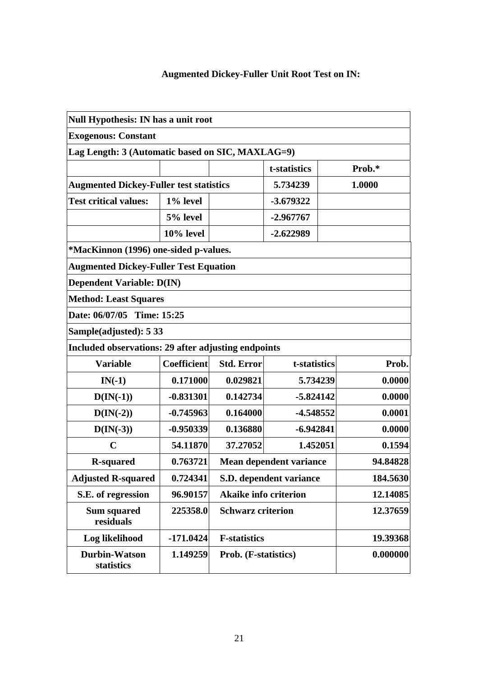# **Augmented Dickey-Fuller Unit Root Test on IN:**

|                                                     | Null Hypothesis: IN has a unit root |                              |                         |          |          |
|-----------------------------------------------------|-------------------------------------|------------------------------|-------------------------|----------|----------|
| <b>Exogenous: Constant</b>                          |                                     |                              |                         |          |          |
| Lag Length: 3 (Automatic based on SIC, MAXLAG=9)    |                                     |                              |                         |          |          |
|                                                     |                                     |                              | t-statistics            |          | Prob.*   |
| <b>Augmented Dickey-Fuller test statistics</b>      |                                     |                              | 5.734239                |          | 1.0000   |
| <b>Test critical values:</b>                        | 1% level                            |                              | -3.679322               |          |          |
|                                                     | 5% level                            |                              | $-2.967767$             |          |          |
|                                                     | $10\%$ level                        |                              | $-2.622989$             |          |          |
| *MacKinnon (1996) one-sided p-values.               |                                     |                              |                         |          |          |
| <b>Augmented Dickey-Fuller Test Equation</b>        |                                     |                              |                         |          |          |
| <b>Dependent Variable: D(IN)</b>                    |                                     |                              |                         |          |          |
| <b>Method: Least Squares</b>                        |                                     |                              |                         |          |          |
| Date: 06/07/05 Time: 15:25                          |                                     |                              |                         |          |          |
| Sample(adjusted): 5 33                              |                                     |                              |                         |          |          |
| Included observations: 29 after adjusting endpoints |                                     |                              |                         |          |          |
| <b>Variable</b>                                     | <b>Coefficient</b>                  | <b>Std. Error</b>            | t-statistics            |          | Prob.    |
| $IN(-1)$                                            | 0.171000                            | 0.029821                     | 5.734239                |          | 0.0000   |
| $D(IN(-1))$                                         | $-0.831301$                         | 0.142734                     | $-5.824142$             |          | 0.0000   |
| $D(IN(-2))$                                         | $-0.745963$                         | 0.164000                     | -4.548552               |          | 0.0001   |
| $D(IN(-3))$                                         | $-0.950339$                         | 0.136880                     | $-6.942841$             |          | 0.0000   |
| $\mathbf C$                                         | 54.11870                            | 37.27052                     | 1.452051                |          | 0.1594   |
| <b>R-squared</b>                                    | 0.763721                            |                              | Mean dependent variance |          | 94.84828 |
| <b>Adjusted R-squared</b>                           | 0.724341                            |                              | S.D. dependent variance |          | 184.5630 |
| S.E. of regression                                  | 96.90157                            | <b>Akaike info criterion</b> |                         | 12.14085 |          |
| <b>Sum squared</b><br>residuals                     | 225358.0                            | <b>Schwarz criterion</b>     |                         | 12.37659 |          |
| Log likelihood                                      | $-171.0424$                         | <b>F-statistics</b>          |                         |          | 19.39368 |
| <b>Durbin-Watson</b><br>statistics                  | 1.149259                            | Prob. (F-statistics)         |                         |          | 0.000000 |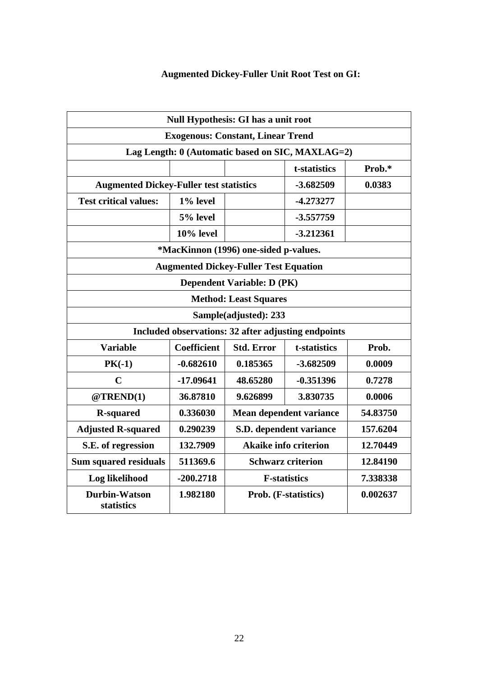# **Augmented Dickey-Fuller Unit Root Test on GI:**

|                                                | <b>Null Hypothesis: GI has a unit root</b> |                                              |                                                     |          |
|------------------------------------------------|--------------------------------------------|----------------------------------------------|-----------------------------------------------------|----------|
|                                                |                                            | <b>Exogenous: Constant, Linear Trend</b>     |                                                     |          |
|                                                |                                            |                                              | Lag Length: 0 (Automatic based on SIC, MAXLAG=2)    |          |
|                                                |                                            |                                              | t-statistics                                        | Prob.*   |
| <b>Augmented Dickey-Fuller test statistics</b> |                                            |                                              | $-3.682509$                                         | 0.0383   |
| <b>Test critical values:</b>                   | 1% level                                   |                                              | $-4.273277$                                         |          |
|                                                | 5% level                                   | $-3.557759$                                  |                                                     |          |
|                                                | $10%$ level                                |                                              | $-3.212361$                                         |          |
|                                                |                                            | *MacKinnon (1996) one-sided p-values.        |                                                     |          |
|                                                |                                            | <b>Augmented Dickey-Fuller Test Equation</b> |                                                     |          |
|                                                |                                            | <b>Dependent Variable: D (PK)</b>            |                                                     |          |
|                                                |                                            | <b>Method: Least Squares</b>                 |                                                     |          |
|                                                |                                            | Sample(adjusted): 233                        |                                                     |          |
|                                                |                                            |                                              | Included observations: 32 after adjusting endpoints |          |
| <b>Variable</b>                                | <b>Coefficient</b>                         | <b>Std. Error</b><br>t-statistics<br>Prob.   |                                                     |          |
| $PK(-1)$                                       | $-0.682610$                                | 0.185365                                     | $-3.682509$                                         | 0.0009   |
| $\mathbf C$                                    | $-17.09641$                                | 48.65280                                     | $-0.351396$                                         | 0.7278   |
| @TREND(1)                                      | 36.87810                                   | 9.626899                                     | 3.830735                                            | 0.0006   |
| <b>R-squared</b>                               | 0.336030                                   | Mean dependent variance<br>54.83750          |                                                     |          |
| <b>Adjusted R-squared</b>                      | 0.290239                                   |                                              | S.D. dependent variance                             | 157.6204 |
| S.E. of regression                             | 132.7909                                   | <b>Akaike info criterion</b><br>12.70449     |                                                     |          |
| <b>Sum squared residuals</b>                   | 511369.6                                   | 12.84190<br><b>Schwarz criterion</b>         |                                                     |          |
| Log likelihood                                 | $-200.2718$                                |                                              | <b>F-statistics</b>                                 | 7.338338 |
| <b>Durbin-Watson</b><br>statistics             | 1.982180                                   | Prob. (F-statistics)<br>0.002637             |                                                     |          |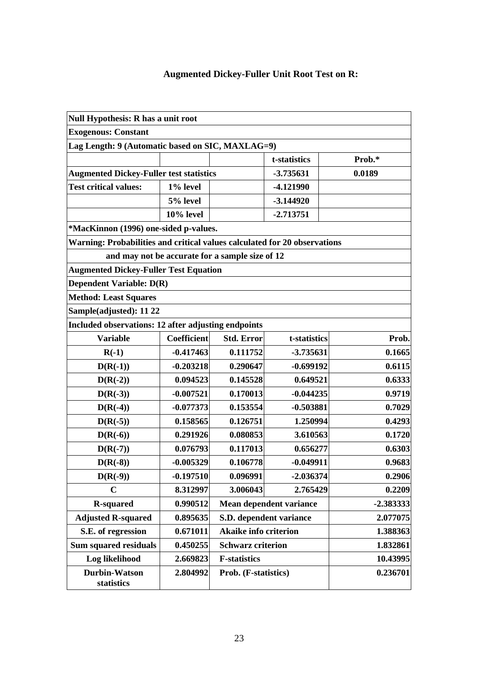## **Augmented Dickey-Fuller Unit Root Test on R:**

| Null Hypothesis: R has a unit root                                        |                    |                                     |                         |             |
|---------------------------------------------------------------------------|--------------------|-------------------------------------|-------------------------|-------------|
| <b>Exogenous: Constant</b>                                                |                    |                                     |                         |             |
| Lag Length: 9 (Automatic based on SIC, MAXLAG=9)                          |                    |                                     |                         |             |
|                                                                           |                    |                                     | t-statistics            | Prob.*      |
| <b>Augmented Dickey-Fuller test statistics</b>                            |                    |                                     | -3.735631               | 0.0189      |
| <b>Test critical values:</b>                                              | 1% level           |                                     | -4.121990               |             |
|                                                                           | 5% level           |                                     | $-3.144920$             |             |
|                                                                           | $10\%$ level       |                                     | $-2.713751$             |             |
| *MacKinnon (1996) one-sided p-values.                                     |                    |                                     |                         |             |
| Warning: Probabilities and critical values calculated for 20 observations |                    |                                     |                         |             |
| and may not be accurate for a sample size of 12                           |                    |                                     |                         |             |
| <b>Augmented Dickey-Fuller Test Equation</b>                              |                    |                                     |                         |             |
| <b>Dependent Variable: D(R)</b>                                           |                    |                                     |                         |             |
| <b>Method: Least Squares</b>                                              |                    |                                     |                         |             |
| Sample(adjusted): 11 22                                                   |                    |                                     |                         |             |
| Included observations: 12 after adjusting endpoints                       |                    |                                     |                         |             |
| <b>Variable</b>                                                           | <b>Coefficient</b> | <b>Std. Error</b>                   | t-statistics            | Prob.       |
| $R(-1)$                                                                   | $-0.417463$        | 0.111752                            | -3.735631               | 0.1665      |
| $D(R(-1))$                                                                | $-0.203218$        | 0.290647                            | $-0.699192$             | 0.6115      |
| $D(R(-2))$                                                                | 0.094523           | 0.145528                            | 0.649521                | 0.6333      |
| $D(R(-3))$                                                                | $-0.007521$        | 0.170013                            | $-0.044235$             | 0.9719      |
| $D(R(-4))$                                                                | $-0.077373$        | 0.153554                            | $-0.503881$             | 0.7029      |
| $D(R(-5))$                                                                | 0.158565           | 0.126751                            | 1.250994                | 0.4293      |
| $D(R(-6))$                                                                | 0.291926           | 0.080853                            | 3.610563                | 0.1720      |
| $D(R(-7))$                                                                | 0.076793           | 0.117013                            | 0.656277                | 0.6303      |
| $D(R(-8))$                                                                | $-0.005329$        | 0.106778                            | $-0.049911$             | 0.9683      |
| $D(R(-9))$                                                                | $-0.197510$        | 0.096991                            | $-2.036374$             | 0.2906      |
| $\mathbf C$                                                               | 8.312997           | 3.006043                            | 2.765429                | 0.2209      |
| <b>R-squared</b>                                                          | 0.990512           |                                     | Mean dependent variance | $-2.383333$ |
| <b>Adjusted R-squared</b>                                                 | 0.895635           | S.D. dependent variance<br>2.077075 |                         |             |
| S.E. of regression                                                        | 0.671011           | Akaike info criterion               |                         | 1.388363    |
| <b>Sum squared residuals</b>                                              | 0.450255           | <b>Schwarz criterion</b>            |                         | 1.832861    |
| Log likelihood                                                            | 2.669823           | <b>F-statistics</b>                 |                         | 10.43995    |
| <b>Durbin-Watson</b><br>statistics                                        | 2.804992           | Prob. (F-statistics)                |                         | 0.236701    |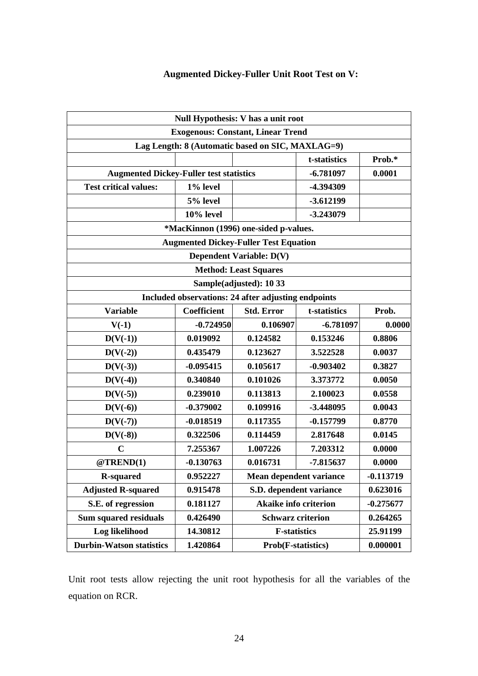#### **Augmented Dickey-Fuller Unit Root Test on V:**

|                                                     |                                                                  | Null Hypothesis: V has a unit root               |             |             |  |
|-----------------------------------------------------|------------------------------------------------------------------|--------------------------------------------------|-------------|-------------|--|
|                                                     |                                                                  | <b>Exogenous: Constant, Linear Trend</b>         |             |             |  |
|                                                     |                                                                  | Lag Length: 8 (Automatic based on SIC, MAXLAG=9) |             |             |  |
|                                                     | t-statistics                                                     | Prob.*                                           |             |             |  |
| <b>Augmented Dickey-Fuller test statistics</b>      |                                                                  |                                                  | $-6.781097$ | 0.0001      |  |
| <b>Test critical values:</b>                        | 1% level                                                         |                                                  | -4.394309   |             |  |
|                                                     | 5% level                                                         |                                                  | $-3.612199$ |             |  |
|                                                     | 10% level                                                        |                                                  | $-3.243079$ |             |  |
|                                                     |                                                                  | *MacKinnon (1996) one-sided p-values.            |             |             |  |
|                                                     |                                                                  | <b>Augmented Dickey-Fuller Test Equation</b>     |             |             |  |
|                                                     |                                                                  | <b>Dependent Variable: D(V)</b>                  |             |             |  |
|                                                     |                                                                  | <b>Method: Least Squares</b>                     |             |             |  |
|                                                     |                                                                  | Sample(adjusted): 10 33                          |             |             |  |
| Included observations: 24 after adjusting endpoints |                                                                  |                                                  |             |             |  |
| <b>Variable</b>                                     | <b>Coefficient</b><br><b>Std. Error</b><br>Prob.<br>t-statistics |                                                  |             |             |  |
| $V(-1)$                                             | $-0.724950$                                                      | 0.106907                                         | $-6.781097$ | 0.0000      |  |
| $D(V(-1))$                                          | 0.019092                                                         | 0.124582                                         | 0.153246    | 0.8806      |  |
| $D(V(-2))$                                          | 0.435479                                                         | 0.123627                                         | 3.522528    | 0.0037      |  |
| $D(V(-3))$                                          | $-0.095415$                                                      | 0.105617                                         | $-0.903402$ | 0.3827      |  |
| $D(V(-4))$                                          | 0.340840                                                         | 0.101026                                         | 3.373772    | 0.0050      |  |
| $D(V(-5))$                                          | 0.239010                                                         | 0.113813                                         | 2.100023    | 0.0558      |  |
| $D(V(-6))$                                          | $-0.379002$                                                      | 0.109916                                         | -3.448095   | 0.0043      |  |
| $D(V(-7))$                                          | $-0.018519$                                                      | 0.117355                                         | $-0.157799$ | 0.8770      |  |
| $D(V(-8))$                                          | 0.322506                                                         | 0.114459                                         | 2.817648    | 0.0145      |  |
| $\mathbf C$                                         | 7.255367                                                         | 1.007226                                         | 7.203312    | 0.0000      |  |
| @TREND(1)                                           | $-0.130763$                                                      | 0.016731                                         | -7.815637   | 0.0000      |  |
| <b>R-squared</b>                                    | 0.952227                                                         | <b>Mean dependent variance</b>                   |             | $-0.113719$ |  |
| <b>Adjusted R-squared</b>                           | 0.915478                                                         | S.D. dependent variance                          |             | 0.623016    |  |
| S.E. of regression                                  | 0.181127                                                         | <b>Akaike info criterion</b>                     |             | $-0.275677$ |  |
| <b>Sum squared residuals</b>                        | 0.426490                                                         | <b>Schwarz criterion</b>                         |             | 0.264265    |  |
| Log likelihood                                      | 14.30812                                                         | 25.91199<br><b>F-statistics</b>                  |             |             |  |
| <b>Durbin-Watson statistics</b>                     | 1.420864                                                         | 0.000001<br><b>Prob(F-statistics)</b>            |             |             |  |

Unit root tests allow rejecting the unit root hypothesis for all the variables of the equation on RCR.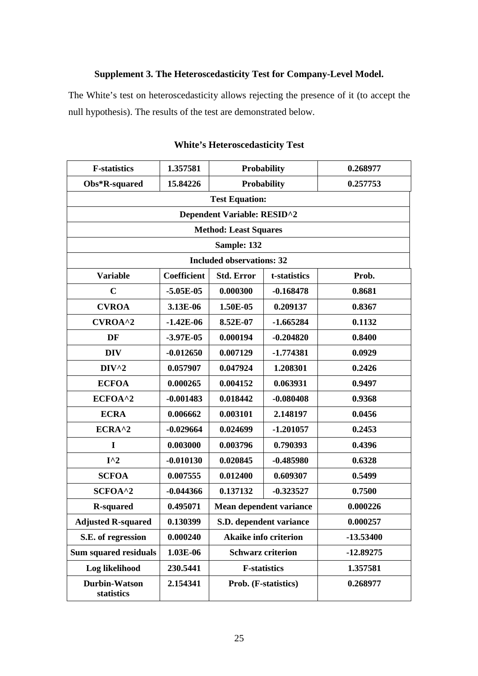#### **Supplement 3. The Heteroscedasticity Test for Company-Level Model.**

The White's test on heteroscedasticity allows rejecting the presence of it (to accept the null hypothesis). The results of the test are demonstrated below.

| <b>F-statistics</b>                | 1.357581           | <b>Probability</b>               |                          | 0.268977    |
|------------------------------------|--------------------|----------------------------------|--------------------------|-------------|
| Obs*R-squared                      | 15.84226           | <b>Probability</b>               |                          | 0.257753    |
|                                    |                    | <b>Test Equation:</b>            |                          |             |
|                                    |                    | Dependent Variable: RESID^2      |                          |             |
|                                    |                    | <b>Method: Least Squares</b>     |                          |             |
|                                    |                    | Sample: 132                      |                          |             |
|                                    |                    | <b>Included observations: 32</b> |                          |             |
| <b>Variable</b>                    | <b>Coefficient</b> | <b>Std. Error</b>                | t-statistics             | Prob.       |
| $\mathbf C$                        | $-5.05E-05$        | 0.000300                         | $-0.168478$              | 0.8681      |
| <b>CVROA</b>                       | 3.13E-06           | 1.50E-05                         | 0.209137                 | 0.8367      |
| CVROA^2                            | $-1.42E-06$        | 8.52E-07                         | $-1.665284$              | 0.1132      |
| DF                                 | $-3.97E-05$        | 0.000194                         | $-0.204820$              | 0.8400      |
| <b>DIV</b>                         | $-0.012650$        | 0.007129                         | $-1.774381$              | 0.0929      |
| $DIV^2$                            | 0.057907           | 0.047924                         | 1.208301                 | 0.2426      |
| <b>ECFOA</b>                       | 0.000265           | 0.004152                         | 0.063931                 | 0.9497      |
| ECFOA^2                            | $-0.001483$        | 0.018442<br>$-0.080408$          |                          | 0.9368      |
| <b>ECRA</b>                        | 0.006662           | 0.003101                         | 2.148197                 | 0.0456      |
| ECRA^2                             | $-0.029664$        | 0.024699                         | $-1.201057$              | 0.2453      |
| I                                  | 0.003000           | 0.003796                         | 0.790393                 | 0.4396      |
| $I^{\wedge}2$                      | $-0.010130$        | 0.020845                         | $-0.485980$              | 0.6328      |
| <b>SCFOA</b>                       | 0.007555           | 0.012400                         | 0.609307                 | 0.5499      |
| SCFOA^2                            | $-0.044366$        | 0.137132                         | $-0.323527$              | 0.7500      |
| <b>R-squared</b>                   | 0.495071           | Mean dependent variance          |                          | 0.000226    |
| <b>Adjusted R-squared</b>          | 0.130399           | S.D. dependent variance          |                          | 0.000257    |
| S.E. of regression                 | 0.000240           | <b>Akaike info criterion</b>     |                          | -13.53400   |
| <b>Sum squared residuals</b>       | 1.03E-06           |                                  | <b>Schwarz criterion</b> | $-12.89275$ |
| Log likelihood                     | 230.5441           | <b>F-statistics</b>              |                          | 1.357581    |
| <b>Durbin-Watson</b><br>statistics | 2.154341           | Prob. (F-statistics)             |                          | 0.268977    |

|  | <b>White's Heteroscedasticity Test</b> |  |
|--|----------------------------------------|--|
|--|----------------------------------------|--|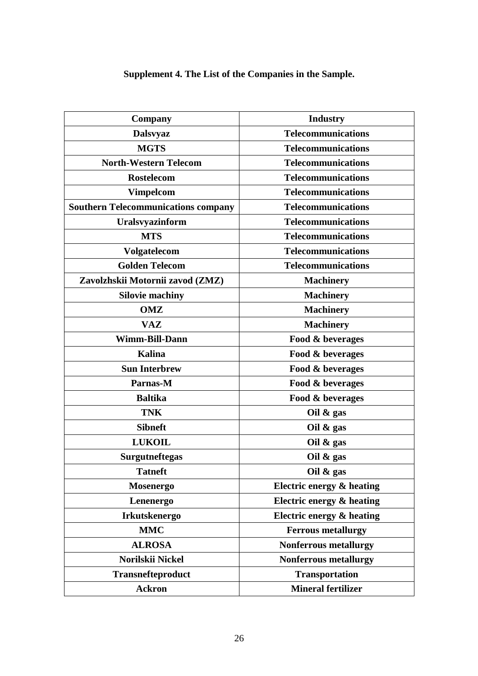# **Supplement 4. The List of the Companies in the Sample.**

| Company                                    | <b>Industry</b>              |
|--------------------------------------------|------------------------------|
| <b>Dalsvyaz</b>                            | <b>Telecommunications</b>    |
| <b>MGTS</b>                                | <b>Telecommunications</b>    |
| <b>North-Western Telecom</b>               | <b>Telecommunications</b>    |
| <b>Rostelecom</b>                          | <b>Telecommunications</b>    |
| <b>Vimpelcom</b>                           | <b>Telecommunications</b>    |
| <b>Southern Telecommunications company</b> | <b>Telecommunications</b>    |
| Uralsvyazinform                            | <b>Telecommunications</b>    |
| <b>MTS</b>                                 | <b>Telecommunications</b>    |
| Volgatelecom                               | <b>Telecommunications</b>    |
| <b>Golden Telecom</b>                      | <b>Telecommunications</b>    |
| Zavolzhskii Motornii zavod (ZMZ)           | <b>Machinery</b>             |
| <b>Silovie machiny</b>                     | <b>Machinery</b>             |
| <b>OMZ</b>                                 | <b>Machinery</b>             |
| <b>VAZ</b>                                 | <b>Machinery</b>             |
| Wimm-Bill-Dann                             | Food & beverages             |
| <b>Kalina</b>                              | Food & beverages             |
| <b>Sun Interbrew</b>                       | Food & beverages             |
| Parnas-M                                   | Food & beverages             |
| <b>Baltika</b>                             | Food & beverages             |
| <b>TNK</b>                                 | Oil $\&$ gas                 |
| <b>Sibneft</b>                             | Oil $\&$ gas                 |
| <b>LUKOIL</b>                              | Oil $\&$ gas                 |
| <b>Surgutneftegas</b>                      | Oil $\&$ gas                 |
| <b>Tatneft</b>                             | Oil $\&$ gas                 |
| <b>Mosenergo</b>                           | Electric energy & heating    |
| Lenenergo                                  | Electric energy & heating    |
| <b>Irkutskenergo</b>                       | Electric energy & heating    |
| <b>MMC</b>                                 | <b>Ferrous metallurgy</b>    |
| <b>ALROSA</b>                              | <b>Nonferrous metallurgy</b> |
| Norilskii Nickel                           | <b>Nonferrous metallurgy</b> |
| <b>Transnefteproduct</b>                   | <b>Transportation</b>        |
| <b>Ackron</b>                              | <b>Mineral fertilizer</b>    |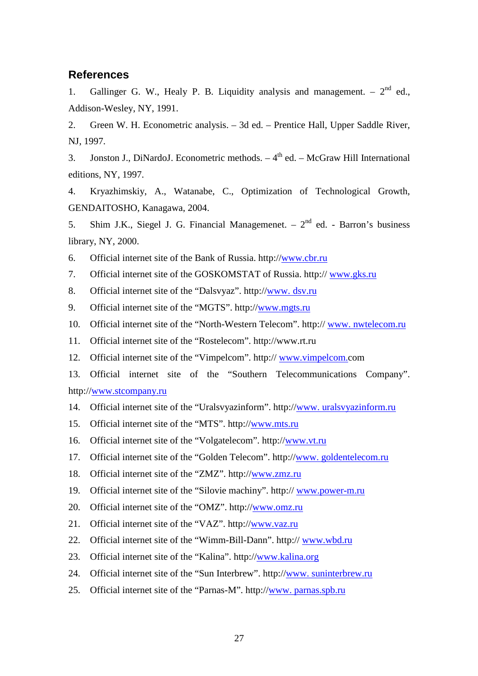#### **References**

1. Gallinger G. W., Healy P. B. Liquidity analysis and management.  $-2^{nd}$  ed., Addison-Wesley, NY, 1991.

2. Green W. H. Econometric analysis. – 3d ed. – Prentice Hall, Upper Saddle River, NJ, 1997.

3. Jonston J., DiNardoJ. Econometric methods.  $-4<sup>th</sup>$  ed.  $-$  McGraw Hill International editions, NY, 1997.

4. Kryazhimskiy, A., Watanabe, C., Optimization of Technological Growth, GENDAITOSHO, Kanagawa, 2004.

5. Shim J.K., Siegel J. G. Financial Managemenet.  $-2^{nd}$  ed. - Barron's business library, NY, 2000.

6. Official internet site of the Bank of Russia. http://www.cbr.ru

7. Official internet site of the GOSKOMSTAT of Russia. http:// www.gks.ru

8. Official internet site of the "Dalsvyaz". http://www. dsv.ru

9. Official internet site of the "MGTS". http://www.mgts.ru

10. Official internet site of the "North-Western Telecom". http:// www. nwtelecom.ru

11. Official internet site of the "Rostelecom". http://www.rt.ru

12. Official internet site of the "Vimpelcom". http:// www.vimpelcom.com

13. Official internet site of the "Southern Telecommunications Company". http://www.stcompany.ru

14. Official internet site of the "Uralsvyazinform". http://www. uralsvyazinform.ru

15. Official internet site of the "MTS". http://www.mts.ru

16. Official internet site of the "Volgatelecom". http://www.vt.ru

17. Official internet site of the "Golden Telecom". http://www. goldentelecom.ru

18. Official internet site of the "ZMZ". http://www.zmz.ru

19. Official internet site of the "Silovie machiny". http:// www.power-m.ru

20. Official internet site of the "OMZ". http://www.omz.ru

21. Official internet site of the "VAZ". http://www.vaz.ru

22. Official internet site of the "Wimm-Bill-Dann". http:// www.wbd.ru

23. Official internet site of the "Kalina". http://www.kalina.org

24. Official internet site of the "Sun Interbrew". http://www. suninterbrew.ru

25. Official internet site of the "Parnas-M". http://www. parnas.spb.ru